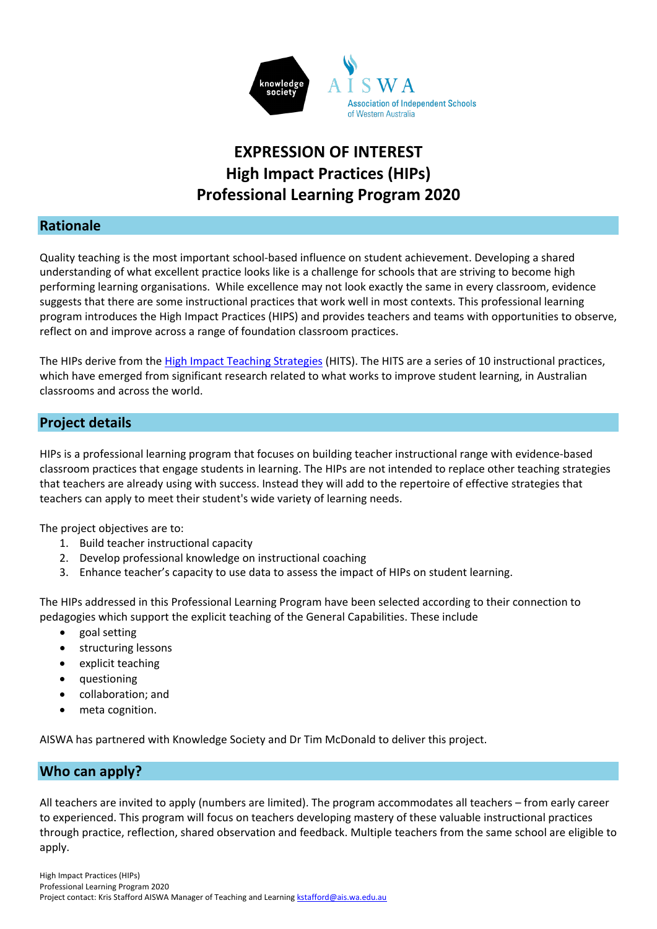

## **EXPRESSION OF INTEREST High Impact Practices (HIPs) Professional Learning Program 2020**

### **Rationale**

Quality teaching is the most important school-based influence on student achievement. Developing a shared understanding of what excellent practice looks like is a challenge for schools that are striving to become high performing learning organisations. While excellence may not look exactly the same in every classroom, evidence suggests that there are some instructional practices that work well in most contexts. This professional learning program introduces the High Impact Practices (HIPS) and provides teachers and teams with opportunities to observe, reflect on and improve across a range of foundation classroom practices.

The HIPs derive from the [High Impact Teaching Strategies](https://www.education.vic.gov.au/Documents/school/teachers/support/high-impact-teaching-strategies.pdf) (HITS). The HITS are a series of 10 instructional practices, which have emerged from significant research related to what works to improve student learning, in Australian classrooms and across the world.

## **Project details**

HIPs is a professional learning program that focuses on building teacher instructional range with evidence-based classroom practices that engage students in learning. The HIPs are not intended to replace other teaching strategies that teachers are already using with success. Instead they will add to the repertoire of effective strategies that teachers can apply to meet their student's wide variety of learning needs.

The project objectives are to:

- 1. Build teacher instructional capacity
- 2. Develop professional knowledge on instructional coaching
- 3. Enhance teacher's capacity to use data to assess the impact of HIPs on student learning.

The HIPs addressed in this Professional Learning Program have been selected according to their connection to pedagogies which support the explicit teaching of the General Capabilities. These include

- goal setting
- structuring lessons
- explicit teaching
- questioning
- collaboration; and
- meta cognition.

AISWA has partnered with Knowledge Society and Dr Tim McDonald to deliver this project.

### **Who can apply?**

All teachers are invited to apply (numbers are limited). The program accommodates all teachers – from early career to experienced. This program will focus on teachers developing mastery of these valuable instructional practices through practice, reflection, shared observation and feedback. Multiple teachers from the same school are eligible to apply.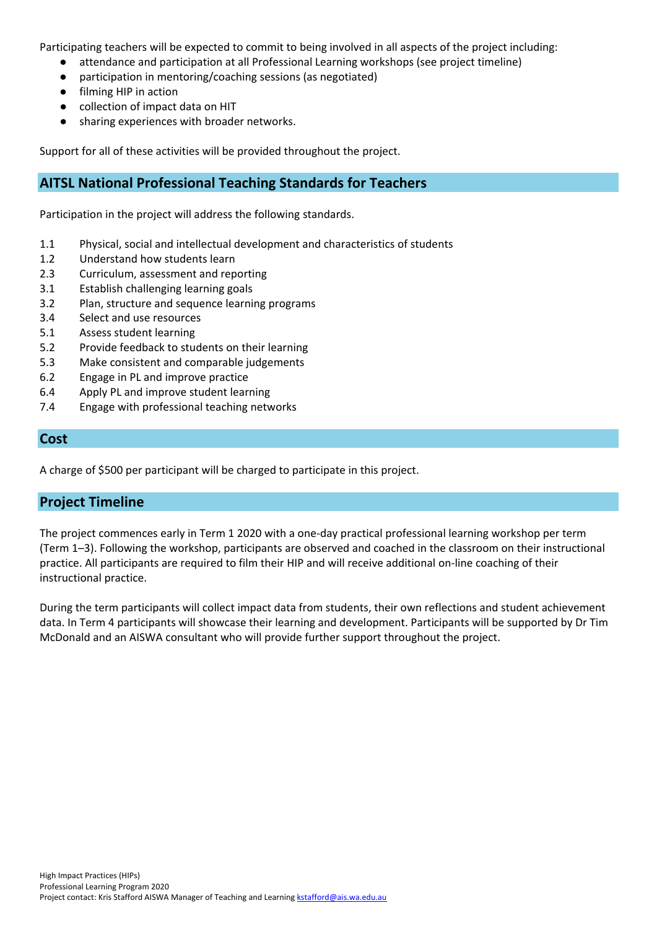Participating teachers will be expected to commit to being involved in all aspects of the project including:

- attendance and participation at all Professional Learning workshops (see project timeline)
- participation in mentoring/coaching sessions (as negotiated)
- filming HIP in action
- collection of impact data on HIT
- sharing experiences with broader networks.

Support for all of these activities will be provided throughout the project.

### **AITSL National Professional Teaching Standards for Teachers**

Participation in the project will address the following standards.

- 1.1 Physical, social and intellectual development and characteristics of students
- 1.2 Understand how students learn
- 2.3 Curriculum, assessment and reporting
- 3.1 Establish challenging learning goals
- 3.2 Plan, structure and sequence learning programs
- 3.4 Select and use resources
- 5.1 Assess student learning
- 5.2 Provide feedback to students on their learning
- 5.3 Make consistent and comparable judgements
- 6.2 Engage in PL and improve practice
- 6.4 Apply PL and improve student learning
- 7.4 Engage with professional teaching networks

#### **Cost**

A charge of \$500 per participant will be charged to participate in this project.

#### **Project Timeline**

The project commences early in Term 1 2020 with a one-day practical professional learning workshop per term (Term 1–3). Following the workshop, participants are observed and coached in the classroom on their instructional practice. All participants are required to film their HIP and will receive additional on-line coaching of their instructional practice.

During the term participants will collect impact data from students, their own reflections and student achievement data. In Term 4 participants will showcase their learning and development. Participants will be supported by Dr Tim McDonald and an AISWA consultant who will provide further support throughout the project.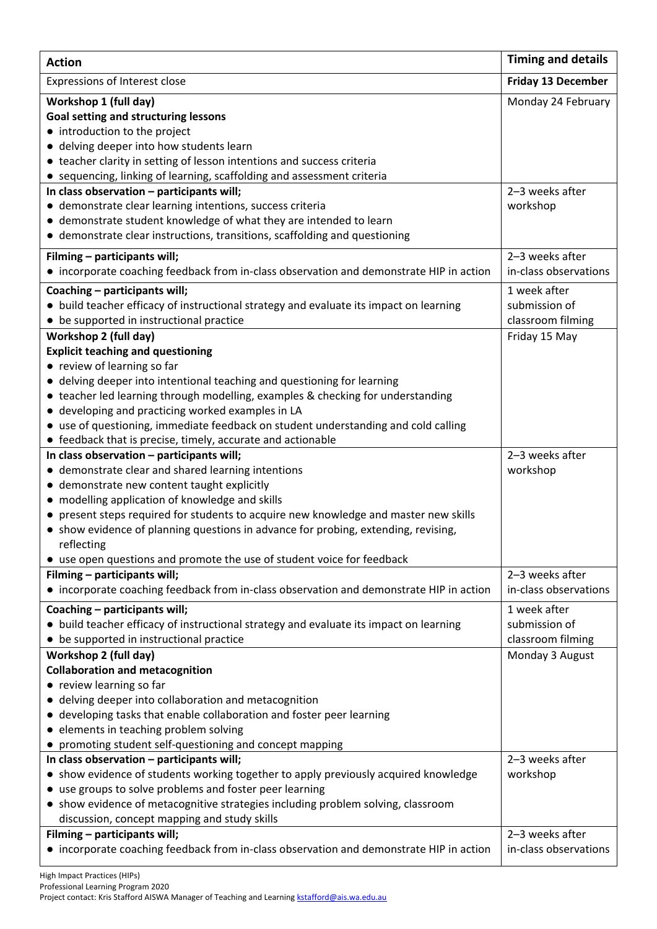| <b>Action</b>                                                                                                                                                                                                                                                                                                                                                                                       | <b>Timing and details</b>                          |
|-----------------------------------------------------------------------------------------------------------------------------------------------------------------------------------------------------------------------------------------------------------------------------------------------------------------------------------------------------------------------------------------------------|----------------------------------------------------|
| Expressions of Interest close                                                                                                                                                                                                                                                                                                                                                                       | <b>Friday 13 December</b>                          |
| Workshop 1 (full day)<br><b>Goal setting and structuring lessons</b><br>• introduction to the project<br>• delving deeper into how students learn                                                                                                                                                                                                                                                   | Monday 24 February                                 |
| • teacher clarity in setting of lesson intentions and success criteria                                                                                                                                                                                                                                                                                                                              |                                                    |
| • sequencing, linking of learning, scaffolding and assessment criteria<br>In class observation - participants will;<br>• demonstrate clear learning intentions, success criteria<br>• demonstrate student knowledge of what they are intended to learn<br>• demonstrate clear instructions, transitions, scaffolding and questioning                                                                | 2-3 weeks after<br>workshop                        |
| Filming - participants will;<br>• incorporate coaching feedback from in-class observation and demonstrate HIP in action                                                                                                                                                                                                                                                                             | 2-3 weeks after<br>in-class observations           |
| Coaching - participants will;<br>• build teacher efficacy of instructional strategy and evaluate its impact on learning<br>• be supported in instructional practice                                                                                                                                                                                                                                 | 1 week after<br>submission of<br>classroom filming |
| Workshop 2 (full day)<br><b>Explicit teaching and questioning</b>                                                                                                                                                                                                                                                                                                                                   | Friday 15 May                                      |
| • review of learning so far<br>• delving deeper into intentional teaching and questioning for learning<br>• teacher led learning through modelling, examples & checking for understanding<br>• developing and practicing worked examples in LA<br>• use of questioning, immediate feedback on student understanding and cold calling<br>• feedback that is precise, timely, accurate and actionable |                                                    |
| In class observation - participants will;<br>• demonstrate clear and shared learning intentions<br>• demonstrate new content taught explicitly                                                                                                                                                                                                                                                      | 2-3 weeks after<br>workshop                        |
| • modelling application of knowledge and skills<br>• present steps required for students to acquire new knowledge and master new skills<br>• show evidence of planning questions in advance for probing, extending, revising,<br>reflecting<br>• use open questions and promote the use of student voice for feedback                                                                               |                                                    |
| Filming - participants will;<br>• incorporate coaching feedback from in-class observation and demonstrate HIP in action                                                                                                                                                                                                                                                                             | 2-3 weeks after<br>in-class observations           |
| Coaching - participants will;<br>• build teacher efficacy of instructional strategy and evaluate its impact on learning<br>• be supported in instructional practice                                                                                                                                                                                                                                 | 1 week after<br>submission of<br>classroom filming |
| Workshop 2 (full day)<br><b>Collaboration and metacognition</b><br>• review learning so far<br>• delving deeper into collaboration and metacognition<br>• developing tasks that enable collaboration and foster peer learning<br>• elements in teaching problem solving<br>• promoting student self-questioning and concept mapping                                                                 | Monday 3 August                                    |
| In class observation - participants will;<br>• show evidence of students working together to apply previously acquired knowledge<br>• use groups to solve problems and foster peer learning<br>• show evidence of metacognitive strategies including problem solving, classroom<br>discussion, concept mapping and study skills                                                                     | 2-3 weeks after<br>workshop                        |
| Filming - participants will;<br>• incorporate coaching feedback from in-class observation and demonstrate HIP in action                                                                                                                                                                                                                                                                             | 2-3 weeks after<br>in-class observations           |

High Impact Practices (HIPs) Professional Learning Program 2020 Project contact: Kris Stafford AISWA Manager of Teaching and Learnin[g kstafford@ais.wa.edu.au](mailto:kstafford@ais.wa.edu.au)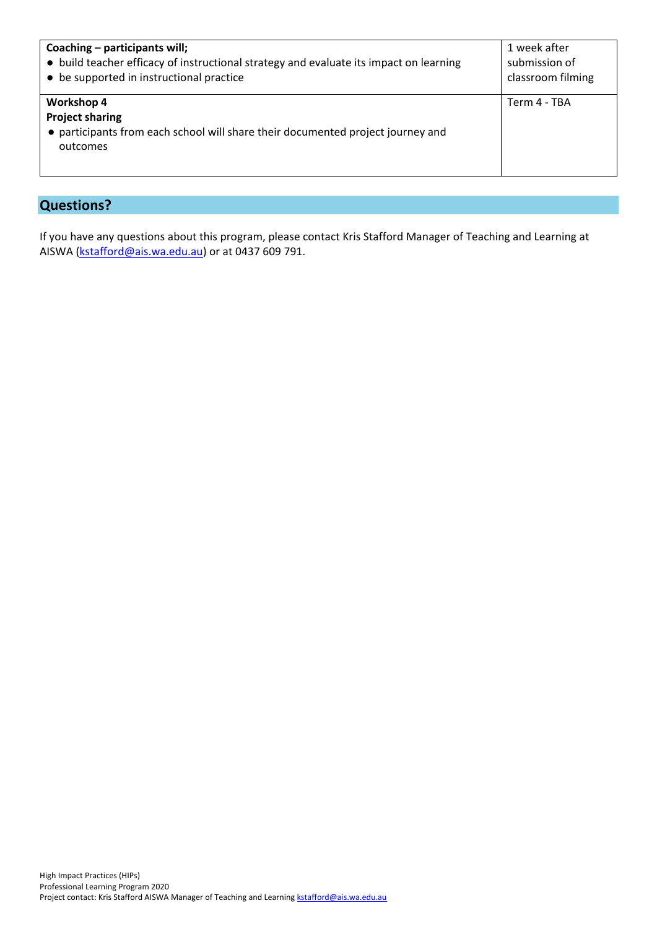| Coaching – participants will;                                                                                                              | 1 week after      |
|--------------------------------------------------------------------------------------------------------------------------------------------|-------------------|
| • build teacher efficacy of instructional strategy and evaluate its impact on learning                                                     | submission of     |
| • be supported in instructional practice                                                                                                   | classroom filming |
| <b>Workshop 4</b><br><b>Project sharing</b><br>• participants from each school will share their documented project journey and<br>outcomes | Term 4 - TBA      |

## **Questions?**

If you have any questions about this program, please contact Kris Stafford Manager of Teaching and Learning at AISWA [\(kstafford@ais.wa.edu.au\)](mailto:kstafford@ais.wa.edu.au) or at 0437 609 791.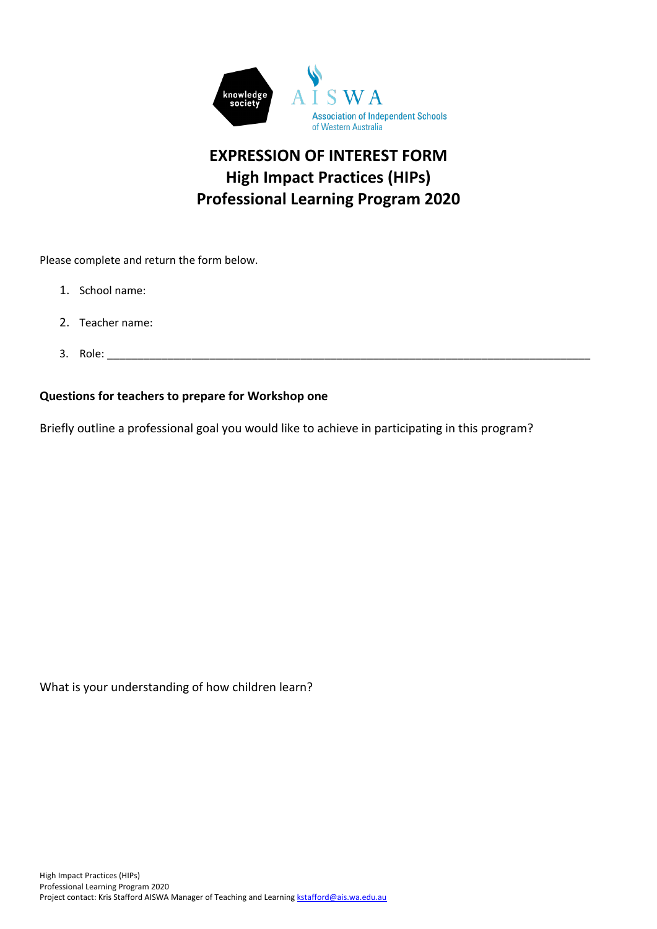

## **EXPRESSION OF INTEREST FORM High Impact Practices (HIPs) Professional Learning Program 2020**

Please complete and return the form below.

- 1. School name:
- 2. Teacher name:
- 3. Role: \_\_\_\_\_\_\_\_\_\_\_\_\_\_\_\_\_\_\_\_\_\_\_\_\_\_\_\_\_\_\_\_\_\_\_\_\_\_\_\_\_\_\_\_\_\_\_\_\_\_\_\_\_\_\_\_\_\_\_\_\_\_\_\_\_\_\_\_\_\_\_\_\_\_\_\_\_\_\_\_

#### **Questions for teachers to prepare for Workshop one**

Briefly outline a professional goal you would like to achieve in participating in this program?

What is your understanding of how children learn?